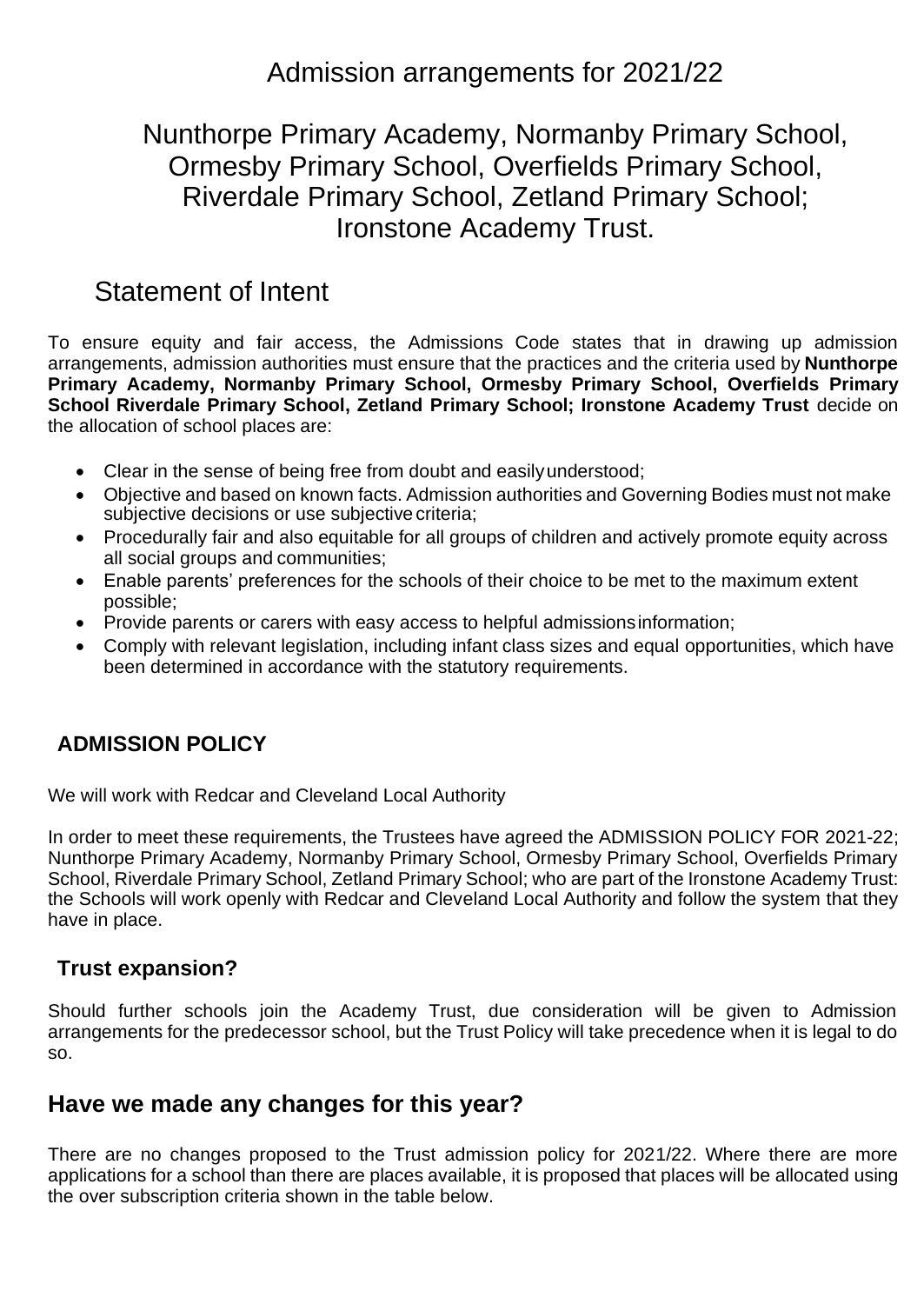## Admission arrangements for 2021/22

## Nunthorpe Primary Academy, Normanby Primary School, Ormesby Primary School, Overfields Primary School, Riverdale Primary School, Zetland Primary School; Ironstone Academy Trust.

# Statement of Intent

To ensure equity and fair access, the Admissions Code states that in drawing up admission arrangements, admission authorities must ensure that the practices and the criteria used by **Nunthorpe Primary Academy, Normanby Primary School, Ormesby Primary School, Overfields Primary School Riverdale Primary School, Zetland Primary School; Ironstone Academy Trust** decide on the allocation of school places are:

- Clear in the sense of being free from doubt and easilyunderstood;
- Objective and based on known facts. Admission authorities and Governing Bodies must not make subjective decisions or use subjective criteria;
- Procedurally fair and also equitable for all groups of children and actively promote equity across all social groups and communities;
- Enable parents' preferences for the schools of their choice to be met to the maximum extent possible;
- Provide parents or carers with easy access to helpful admissionsinformation;
- Comply with relevant legislation, including infant class sizes and equal opportunities, which have been determined in accordance with the statutory requirements.

### **ADMISSION POLICY**

We will work with Redcar and Cleveland Local Authority

In order to meet these requirements, the Trustees have agreed the ADMISSION POLICY FOR 2021-22; Nunthorpe Primary Academy, Normanby Primary School, Ormesby Primary School, Overfields Primary School, Riverdale Primary School, Zetland Primary School; who are part of the Ironstone Academy Trust: the Schools will work openly with Redcar and Cleveland Local Authority and follow the system that they have in place.

#### **Trust expansion?**

Should further schools join the Academy Trust, due consideration will be given to Admission arrangements for the predecessor school, but the Trust Policy will take precedence when it is legal to do so.

### **Have we made any changes for this year?**

There are no changes proposed to the Trust admission policy for 2021/22. Where there are more applications for a school than there are places available, it is proposed that places will be allocated using the over subscription criteria shown in the table below.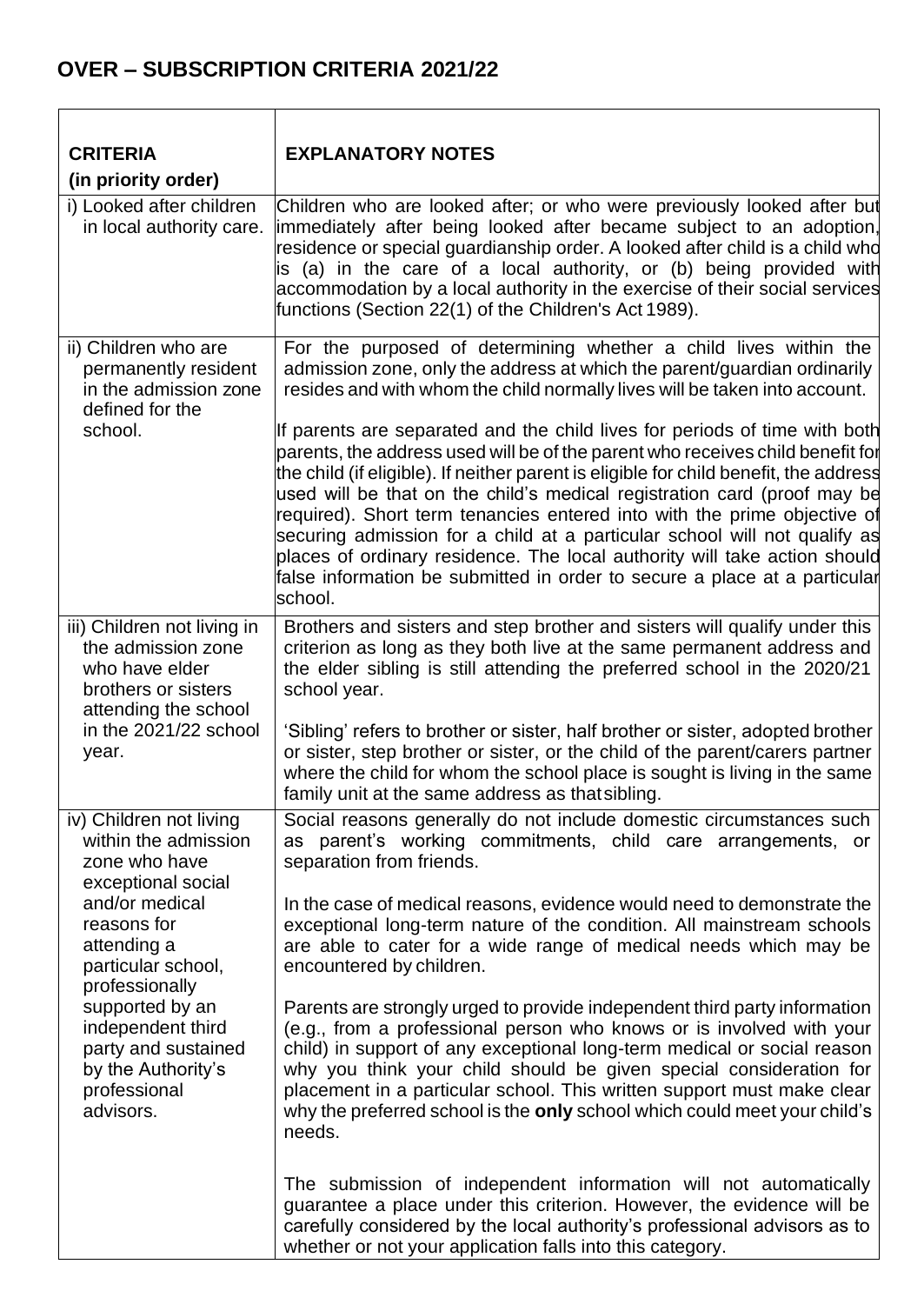## **OVER – SUBSCRIPTION CRITERIA 2021/22**

| <b>CRITERIA</b>                                                                                                                                                                                                                                                                                  | <b>EXPLANATORY NOTES</b>                                                                                                                                                                                                                                                                                                                                                                                                                                                                                                                                                                                                                                        |
|--------------------------------------------------------------------------------------------------------------------------------------------------------------------------------------------------------------------------------------------------------------------------------------------------|-----------------------------------------------------------------------------------------------------------------------------------------------------------------------------------------------------------------------------------------------------------------------------------------------------------------------------------------------------------------------------------------------------------------------------------------------------------------------------------------------------------------------------------------------------------------------------------------------------------------------------------------------------------------|
| (in priority order)                                                                                                                                                                                                                                                                              |                                                                                                                                                                                                                                                                                                                                                                                                                                                                                                                                                                                                                                                                 |
| i) Looked after children<br>in local authority care.                                                                                                                                                                                                                                             | Children who are looked after; or who were previously looked after but<br>immediately after being looked after became subject to an adoption,<br>residence or special guardianship order. A looked after child is a child whd<br>is (a) in the care of a local authority, or (b) being provided with<br>accommodation by a local authority in the exercise of their social services<br>functions (Section 22(1) of the Children's Act 1989).                                                                                                                                                                                                                    |
| ii) Children who are<br>permanently resident<br>in the admission zone<br>defined for the                                                                                                                                                                                                         | For the purposed of determining whether a child lives within the<br>admission zone, only the address at which the parent/guardian ordinarily<br>resides and with whom the child normally lives will be taken into account.                                                                                                                                                                                                                                                                                                                                                                                                                                      |
| school.                                                                                                                                                                                                                                                                                          | If parents are separated and the child lives for periods of time with both<br>parents, the address used will be of the parent who receives child benefit for<br>the child (if eligible). If neither parent is eligible for child benefit, the address<br>used will be that on the child's medical registration card (proof may be<br>required). Short term tenancies entered into with the prime objective of<br>securing admission for a child at a particular school will not qualify as<br>places of ordinary residence. The local authority will take action should<br>false information be submitted in order to secure a place at a particular<br>school. |
| iii) Children not living in<br>the admission zone<br>who have elder<br>brothers or sisters<br>attending the school<br>in the 2021/22 school<br>year.                                                                                                                                             | Brothers and sisters and step brother and sisters will qualify under this<br>criterion as long as they both live at the same permanent address and<br>the elder sibling is still attending the preferred school in the 2020/21<br>school year.<br>'Sibling' refers to brother or sister, half brother or sister, adopted brother<br>or sister, step brother or sister, or the child of the parent/carers partner<br>where the child for whom the school place is sought is living in the same<br>family unit at the same address as that sibling.                                                                                                               |
| iv) Children not living<br>within the admission<br>zone who have<br>exceptional social<br>and/or medical<br>reasons for<br>attending a<br>particular school,<br>professionally<br>supported by an<br>independent third<br>party and sustained<br>by the Authority's<br>professional<br>advisors. | Social reasons generally do not include domestic circumstances such<br>as parent's working commitments, child care arrangements, or<br>separation from friends.                                                                                                                                                                                                                                                                                                                                                                                                                                                                                                 |
|                                                                                                                                                                                                                                                                                                  | In the case of medical reasons, evidence would need to demonstrate the<br>exceptional long-term nature of the condition. All mainstream schools<br>are able to cater for a wide range of medical needs which may be<br>encountered by children.                                                                                                                                                                                                                                                                                                                                                                                                                 |
|                                                                                                                                                                                                                                                                                                  | Parents are strongly urged to provide independent third party information<br>(e.g., from a professional person who knows or is involved with your<br>child) in support of any exceptional long-term medical or social reason<br>why you think your child should be given special consideration for<br>placement in a particular school. This written support must make clear<br>why the preferred school is the only school which could meet your child's<br>needs.                                                                                                                                                                                             |
|                                                                                                                                                                                                                                                                                                  | The submission of independent information will not automatically<br>guarantee a place under this criterion. However, the evidence will be<br>carefully considered by the local authority's professional advisors as to<br>whether or not your application falls into this category.                                                                                                                                                                                                                                                                                                                                                                             |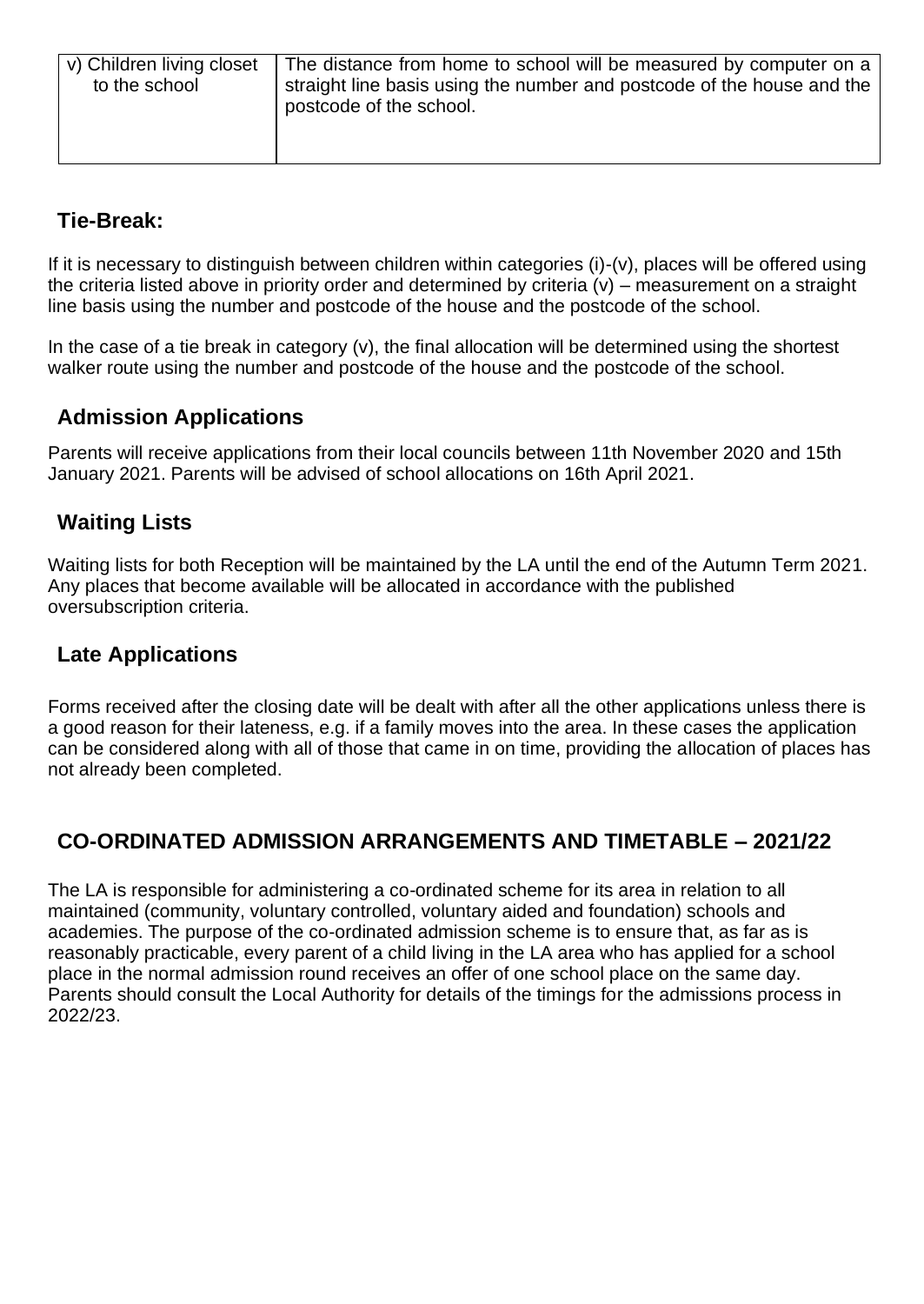| v) Children living closet<br>to the school | The distance from home to school will be measured by computer on a<br>straight line basis using the number and postcode of the house and the<br>postcode of the school. |
|--------------------------------------------|-------------------------------------------------------------------------------------------------------------------------------------------------------------------------|
|                                            |                                                                                                                                                                         |

### **Tie-Break:**

If it is necessary to distinguish between children within categories (i)-(v), places will be offered using the criteria listed above in priority order and determined by criteria  $(v)$  – measurement on a straight line basis using the number and postcode of the house and the postcode of the school.

In the case of a tie break in category (v), the final allocation will be determined using the shortest walker route using the number and postcode of the house and the postcode of the school.

### **Admission Applications**

Parents will receive applications from their local councils between 11th November 2020 and 15th January 2021. Parents will be advised of school allocations on 16th April 2021.

#### **Waiting Lists**

Waiting lists for both Reception will be maintained by the LA until the end of the Autumn Term 2021. Any places that become available will be allocated in accordance with the published oversubscription criteria.

#### **Late Applications**

Forms received after the closing date will be dealt with after all the other applications unless there is a good reason for their lateness, e.g. if a family moves into the area. In these cases the application can be considered along with all of those that came in on time, providing the allocation of places has not already been completed.

### **CO-ORDINATED ADMISSION ARRANGEMENTS AND TIMETABLE – 2021/22**

The LA is responsible for administering a co-ordinated scheme for its area in relation to all maintained (community, voluntary controlled, voluntary aided and foundation) schools and academies. The purpose of the co-ordinated admission scheme is to ensure that, as far as is reasonably practicable, every parent of a child living in the LA area who has applied for a school place in the normal admission round receives an offer of one school place on the same day. Parents should consult the Local Authority for details of the timings for the admissions process in 2022/23.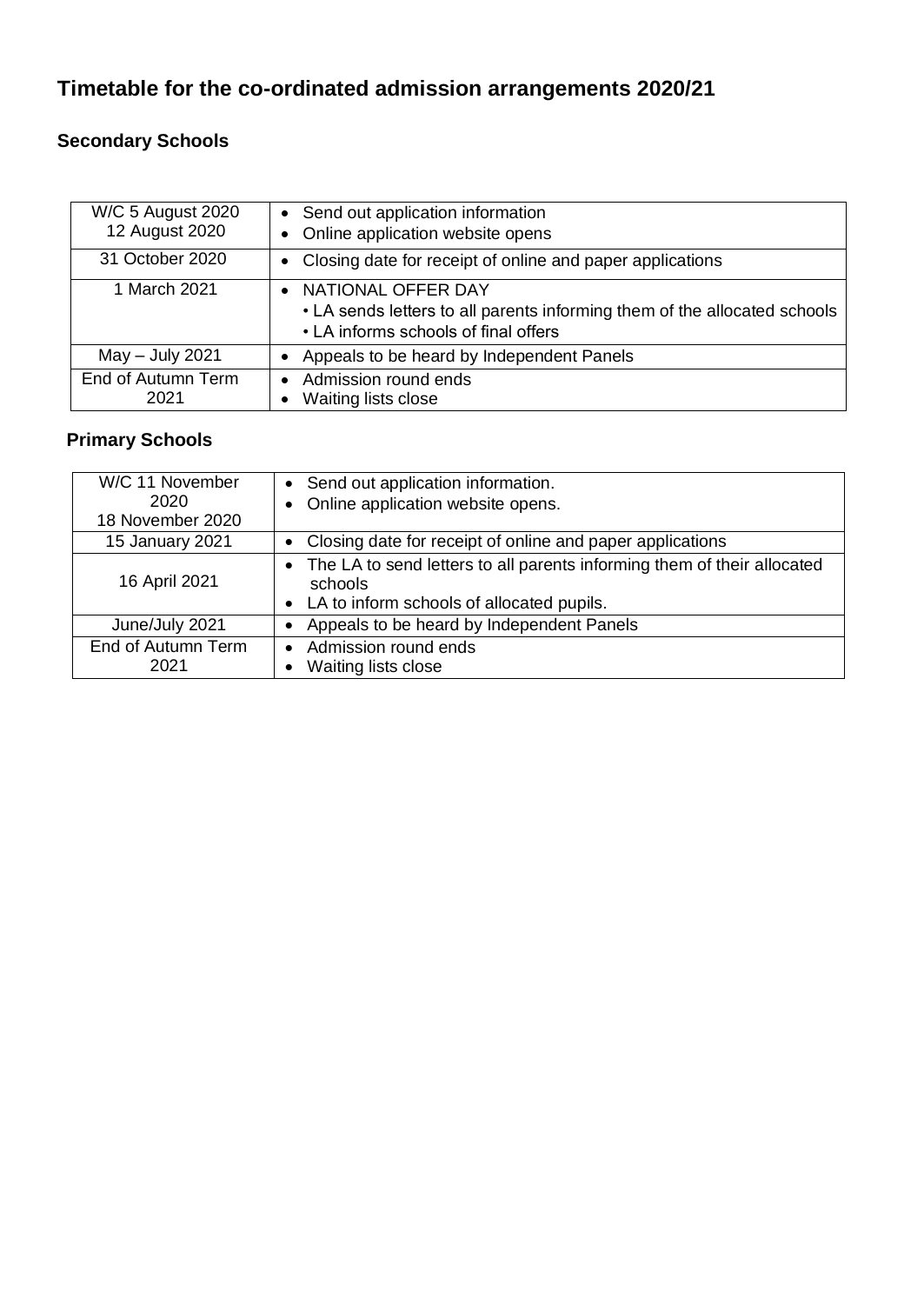## **Timetable for the co-ordinated admission arrangements 2020/21**

### **Secondary Schools**

| W/C 5 August 2020<br>12 August 2020 | • Send out application information<br>• Online application website opens                                                                |
|-------------------------------------|-----------------------------------------------------------------------------------------------------------------------------------------|
| 31 October 2020                     | Closing date for receipt of online and paper applications                                                                               |
| 1 March 2021                        | NATIONAL OFFER DAY<br>• LA sends letters to all parents informing them of the allocated schools<br>• LA informs schools of final offers |
| $May - July 2021$                   | Appeals to be heard by Independent Panels                                                                                               |
| End of Autumn Term<br>2021          | • Admission round ends<br>Waiting lists close                                                                                           |

#### **Primary Schools**

| W/C 11 November          | Send out application information.                                                  |
|--------------------------|------------------------------------------------------------------------------------|
| 2020<br>18 November 2020 | Online application website opens.                                                  |
|                          |                                                                                    |
| 15 January 2021          | Closing date for receipt of online and paper applications                          |
| 16 April 2021            | The LA to send letters to all parents informing them of their allocated<br>schools |
|                          | • LA to inform schools of allocated pupils.                                        |
| June/July 2021           | Appeals to be heard by Independent Panels                                          |
| End of Autumn Term       | Admission round ends<br>$\bullet$                                                  |
| 2021                     | Waiting lists close                                                                |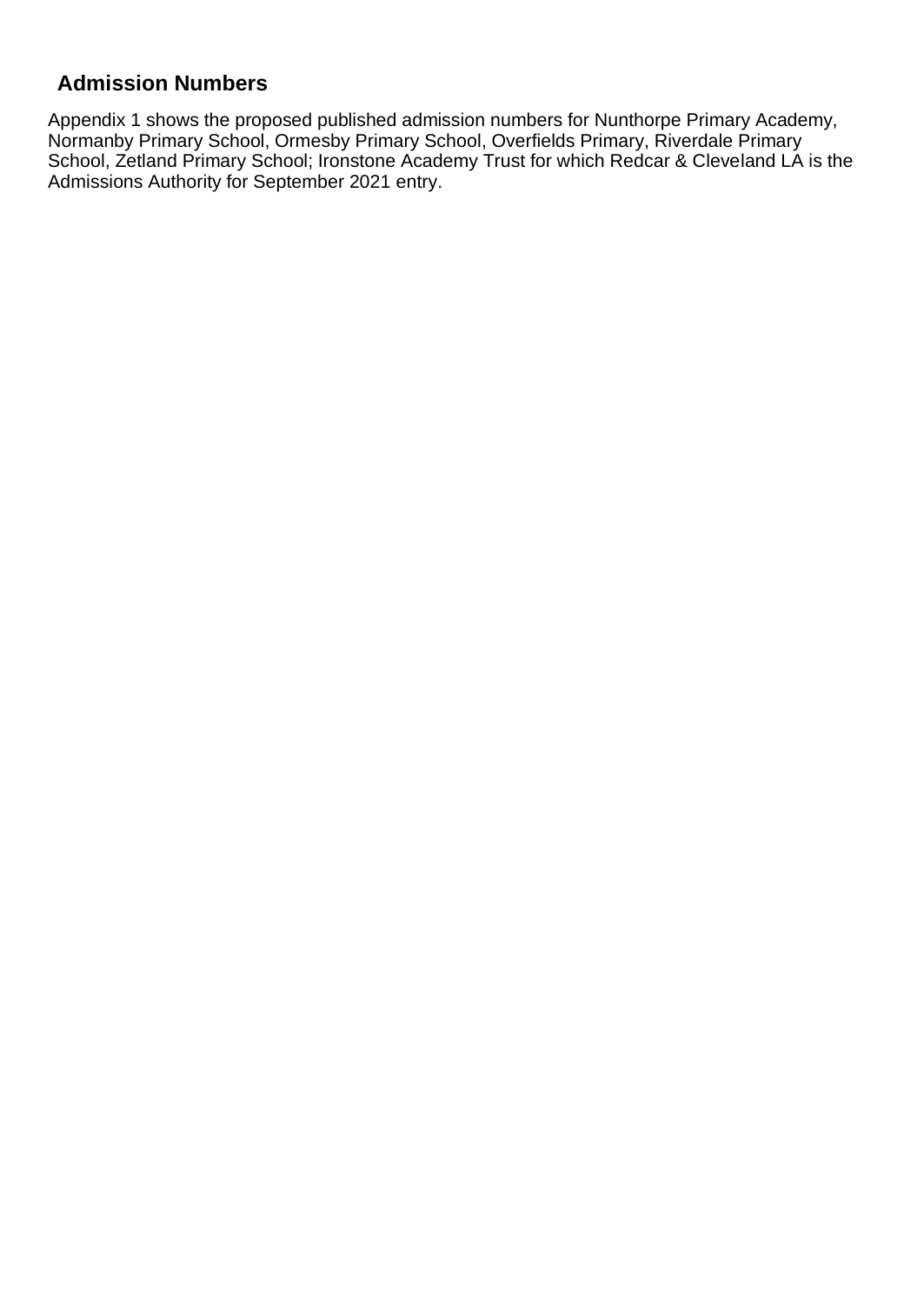### **Admission Numbers**

Appendix 1 shows the proposed published admission numbers for Nunthorpe Primary Academy, Normanby Primary School, Ormesby Primary School, Overfields Primary, Riverdale Primary School, Zetland Primary School; Ironstone Academy Trust for which Redcar & Cleveland LA is the Admissions Authority for September 2021 entry.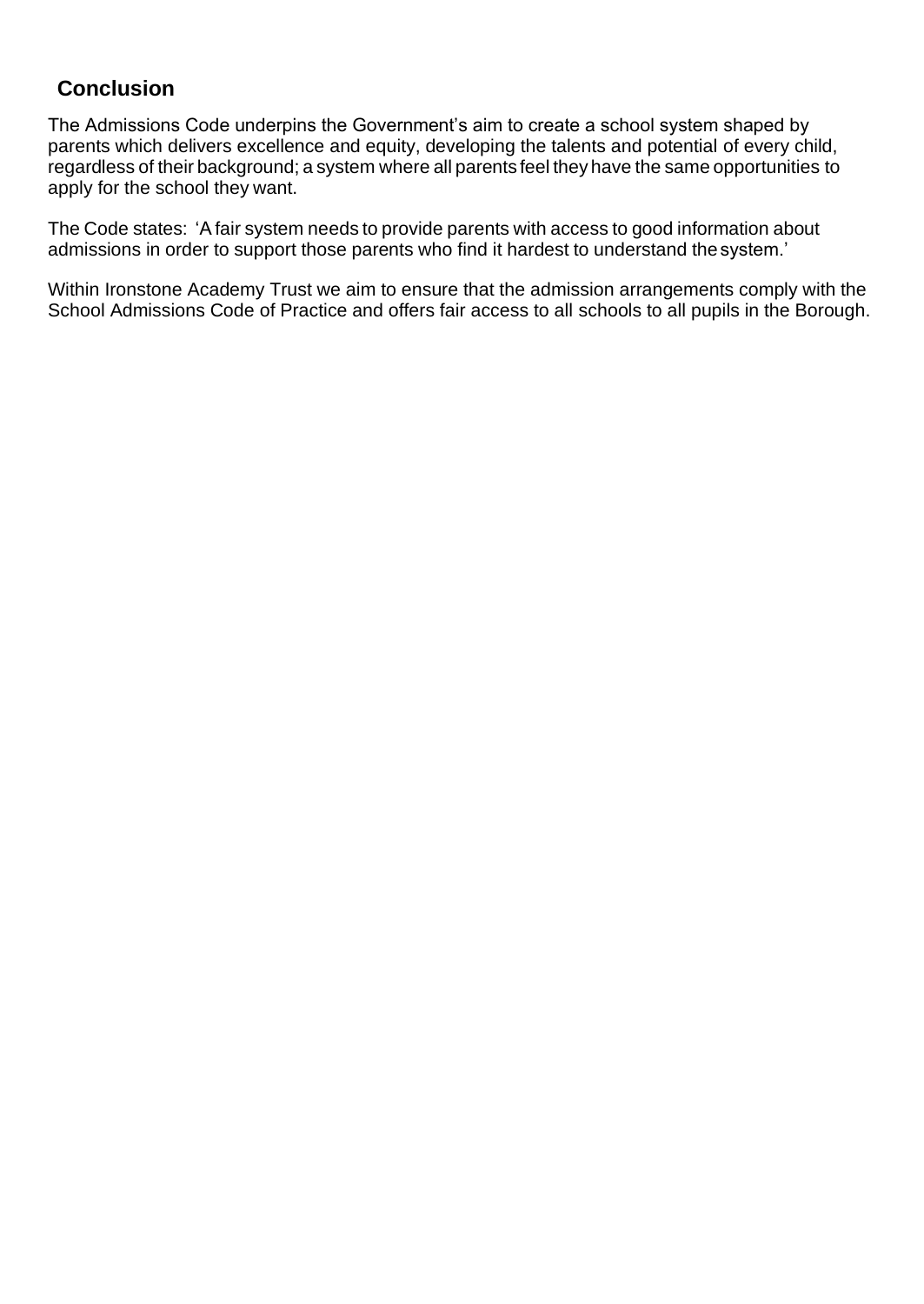### **Conclusion**

The Admissions Code underpins the Government's aim to create a school system shaped by parents which delivers excellence and equity, developing the talents and potential of every child, regardless of their background; a system where all parents feel they have the same opportunities to apply for the school they want.

The Code states: 'Afair system needs to provide parents with access to good information about admissions in order to support those parents who find it hardest to understand thesystem.'

Within Ironstone Academy Trust we aim to ensure that the admission arrangements comply with the School Admissions Code of Practice and offers fair access to all schools to all pupils in the Borough.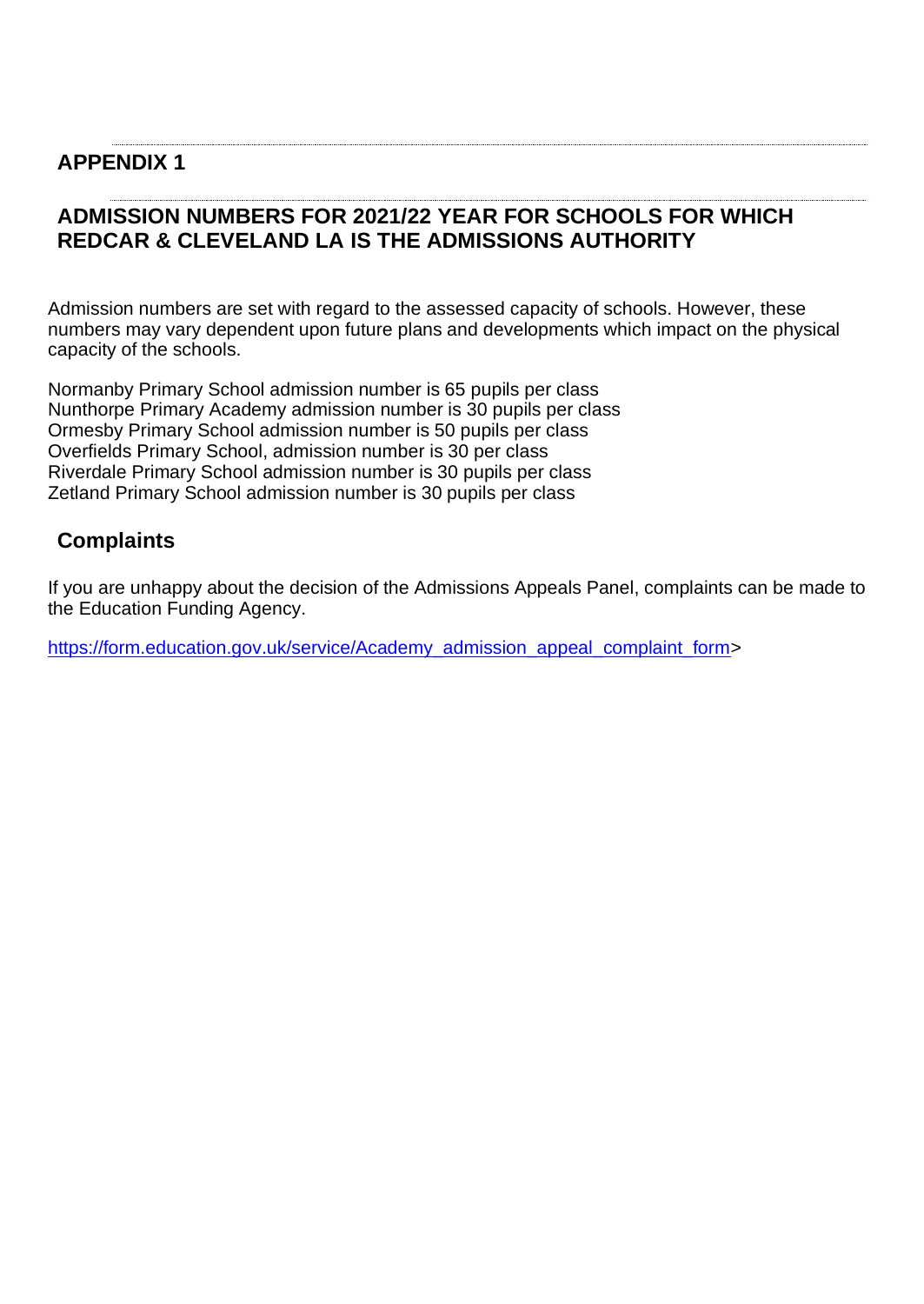### **APPENDIX 1**

### **ADMISSION NUMBERS FOR 2021/22 YEAR FOR SCHOOLS FOR WHICH REDCAR & CLEVELAND LA IS THE ADMISSIONS AUTHORITY**

Admission numbers are set with regard to the assessed capacity of schools. However, these numbers may vary dependent upon future plans and developments which impact on the physical capacity of the schools.

Normanby Primary School admission number is 65 pupils per class Nunthorpe Primary Academy admission number is 30 pupils per class Ormesby Primary School admission number is 50 pupils per class Overfields Primary School, admission number is 30 per class Riverdale Primary School admission number is 30 pupils per class Zetland Primary School admission number is 30 pupils per class

#### **Complaints**

If you are unhappy about the decision of the Admissions Appeals Panel, complaints can be made to the Education Funding Agency.

[https://form.education.gov.uk/service/Academy\\_admission\\_appeal\\_complaint\\_form>](https://form.education.gov.uk/service/Academy_admission_appeal_complaint_form)